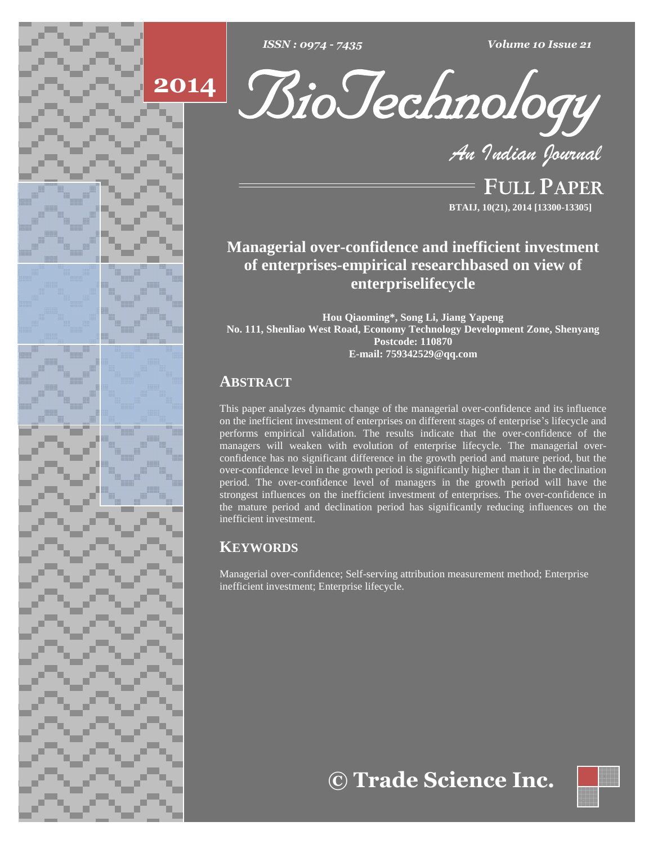





**FULL PAPER BTAIJ, 10(21), 2014 [13300-13305]**

# **Managerial over-confidence and inefficient investment of enterprises-empirical researchbased on view of enterpriselifecycle**

**Hou Qiaoming\*, Song Li, Jiang Yapeng No. 111, Shenliao West Road, Economy Technology Development Zone, Shenyang Postcode: 110870 E-mail: [759342529@qq.com](mailto:759342529@qq.com)**

## **ABSTRACT**

This paper analyzes dynamic change of the managerial over-confidence and its influence on the inefficient investment of enterprises on different stages of enterprise's lifecycle and performs empirical validation. The results indicate that the over-confidence of the managers will weaken with evolution of enterprise lifecycle. The managerial over confidence has no significant difference in the growth period and mature period, but the over-confidence level in the growth period is significantly higher than it in the declination period. The over-confidence level of managers in the growth period will have the strongest influences on the inefficient investment of enterprises. The over-confidence in the mature period and declination period has significantly reducing influences on the inefficient investment.

## **KEYWORDS**

Managerial over-confidence; Self-serving attribution measurement method; Enterprise inefficient investment; Enterprise lifecycle.

**Trade Science Inc.**

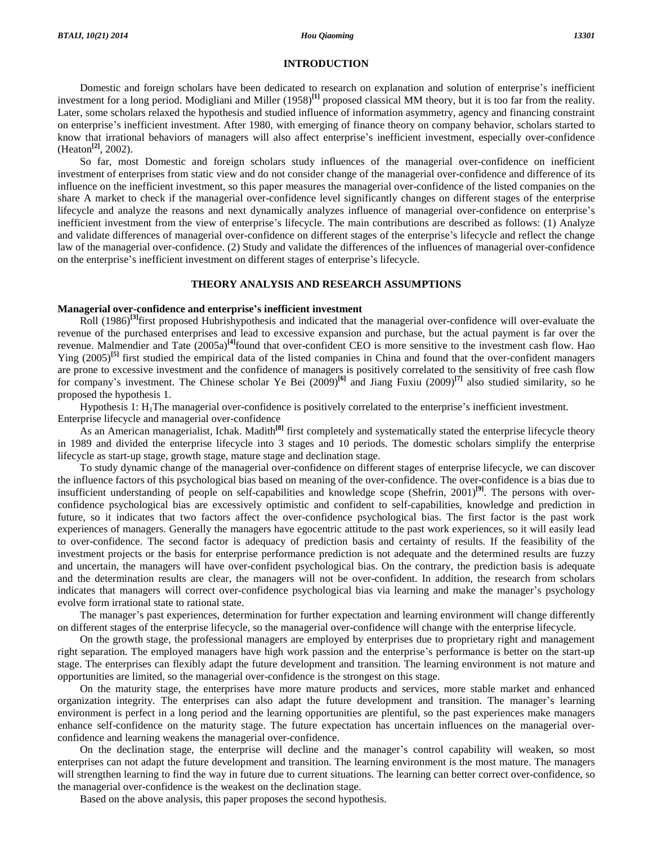## **INTRODUCTION**

Domestic and foreign scholars have been dedicated to research on explanation and solution of enterprise's inefficient investment for a long period. Modigliani and Miller (1958)<sup>[1]</sup> proposed classical MM theory, but it is too far from the reality.<br>Later, some scholars relaxed the hypothesis and studied influence of information asymmetry, Later, some scholars relaxed the hypothesis and studied influence of information asymmetry, agency and financing constraint<br>on enterprise's inefficient investment. After 1980, with emerging of finance theory on company beh (Heaton **[2]**, 2002).

So far, most Domestic and foreign scholars study influences of the managerial over-confidence on inefficient investment of enterprises from static view and do notconsider change of the managerial over-confidence and difference of its influence on the inefficient investment, so this paper measures the managerial over-confidence of the listed companies on the<br>share A market to check if the managerial over-confidence level significantly changes on differe share A market to check if the managerial over-confidence level significantly changes on different stages of the enterprise share A market to check if the managerial over-confidence level significantly changes on different stages of the enterprise<br>lifecycle and analyze the reasons and next dynamically analyzes influence of managerial over-confi lifecycle and analyze the reasons and next dynamically analyzes influence of managerial over-confidence on enterprise's inefficient investment from the view of enterprise's lifecycle. The main contributions are described a law of the managerial over-confidence. (2) Study and validate the differences of the influences of managerial over-confidence and validate differences of managerial over-confidence on different stages of the enterprise's lifecycle and reflect the change law of the managerial over-confidence. (2) Study and validate the differences of the influence

#### **THEORY ANALYSIS AND RESEARCH ASSUMPTIONS**

#### **Managerial over-confidence and enterpriseí<sup>s</sup> inefficient investment**

Roll (1986) **[3]**first proposed Hubrishypothesis and indicated that the managerial over-confidence will over-evaluate the revenue of the purchased enterprises and lead to excessive expansion and purchase, but the actual payment is far over the revenue. Malmendier and Tate (2005a)<sup>[4]</sup>found that over-confident CEO is more sensitive to the investment cash flow. Hao Ying (2005) **[5]** first studied the empirical data of the listed companies in China and found that the over-confident managers are prone to excessive investment and the confidence of managers is positively correlated to the sensitivity of free cash flow Ying  $(2005)^{[5]}$  first studied the empirical data of the listed companies in China and found that the over-confident managers are prone to excessive investment and the confidence of managers is positively correlated to t

Enterprise lifecycle and managerial over-confidence

As an American managerialist, Ichak. Madith **[8]** first completely and systematically stated the enterprise lifecycle theory in 1989 and divided the enterprise lifecycle into 3 stages and 10 periods. The domestic scholars simplify the enterprise lifecycle as start-up stage, growth stage, mature stage and declination stage.

To study dynamic change of the managerial over-confidence on different stages of enterprise lifecycle, we can discover the influence factors of this psychological bias based on meaning of the over-confidence. The over-confidence is a bias due to insufficient understanding of people on self-capabilities and knowledge scope (Shefrin, 2001)<sup>[9]</sup>. The persons with overconfidence psychological bias are excessively optimistic and confident to self-capabilities, knowledge and prediction in future, so it indicates that two factors affect the over-confidence psychological bias. The first factor is the past work experiences of managers. Generally the managers have egocentric attitude to the past work experiences, so it will easily lead to over-confidence. The second factor is adequacy of prediction basis and certainty of results. If the feasibility of the investment projects or the basis for enterprise performance prediction is not adequate and the determined results are fuzzy and uncertain, the managers will have over-confident psychological bias. On the contrary, the prediction basis is adequate<br>and the determination results are clear, the managers will not be over-confident. In addition, the and the determination results are clear, the managers will not be over-confident. In addition, the research from scholars evolve form irrational state to rational state. Indicates that managers will correct over-confidence psychological bias via learning and make the manager's psychology<br>evolve form irrational state to rational state.<br>The manager's past experiences, determination for furth

on different stages of the enterprise lifecycle, so the managerial over-confidence will change with the enterprise lifecycle.<br>On the growth stage, the professional managers are employed by enterprises due to proprietary ri On the growth stage, the professional managers are employed by enterprises due to proprietary right and management stage. The enterprises can flexibly adapt the future development and transition. The learning environment is not mature and opportunities are limited, so the managerial over-confidence is the strongest on this stage.

On the maturity stage, the enterprises have more mature products and services, more stable market and enhanced organization integrity. The enterprises can also adapt the future development and transition. The manager's learning environment is perfect in a long period and the learning opportunities are plentiful, so the past experiences make managers enhance self-confidence on the maturity stage. The future expectation has uncertain influences on the managerial over confidence and learning weakens the managerial over-confidence.

On the declination stage, the enterprise will decline and the manager's control capability will weaken, so most enterprises can notadapt the future development and transition. The learning environment is the most mature. The managers will strengthen learning to find the way in future due to current situations. The learning can better correct over-confidence, so the managerial over-confidence is the weakest on the declination stage.

Based on the above analysis, this paper proposes the second hypothesis.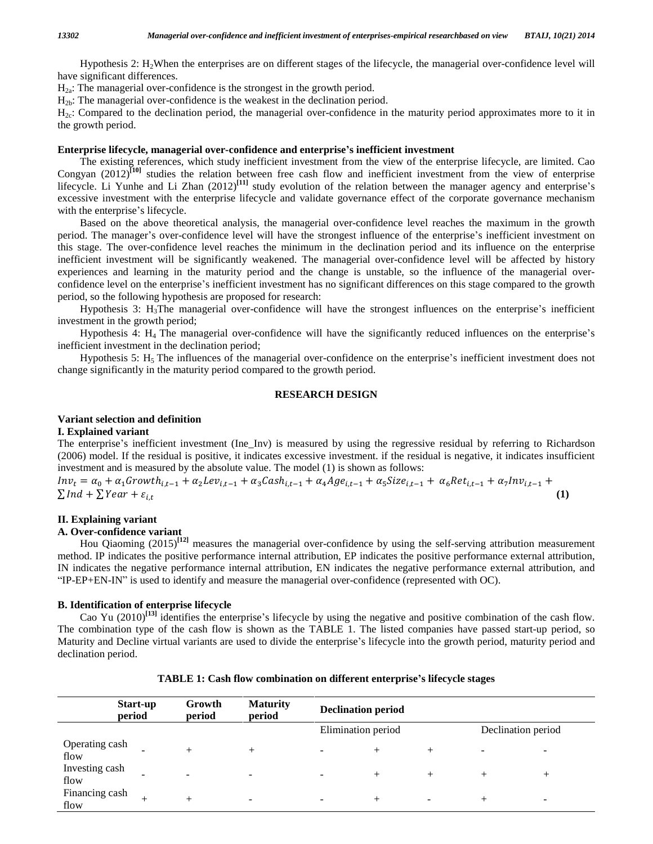Hypothesis 2: H2When the enterprises are on different stages of the lifecycle, the managerial over-confidence level will have significant differences.

 $H<sub>2a</sub>$ : The managerial over-confidence is the strongest in the growth period.

 $H<sub>2b</sub>$ : The managerial over-confidence is the weakest in the declination period.

 $H_{2c}$ : Compared to the declination period, the managerial over-confidence in the maturity period approximates more to it in the growth period.

### **Enterprise lifecycle, managerial over-confidence and enterpriseí<sup>s</sup> inefficient investment**

The existing references, which study inefficient investment from the view of the enterprise lifecycle, are limited. Cao Congyan  $(2012)^{[10]}$  studies the relation between free cash flow and inefficient investment from the view of enterprise The existing references, which study inefficient investment from the view of the enterprise lifecycle, are limited. Cao Congyan  $(2012)^{[10]}$  studies the relation between free cash flow and inefficient investment from the excessive investment with the enterprise lifecycle and validate governance effect of the corporate governance mechanism lifecycle. Li Yunhe and Li Zhan<br>excessive investment with the ent<br>with the enterprise's lifecycle.

Based on the above theoretical analysis, the managerial over-confidence level reaches the maximum in the growth with the enterprise's lifecycle.<br>Based on the above theoretical analysis, the managerial over-confidence level reaches the maximum in the growth<br>period. The manager's over-confidence level will have the strongest influence this stage. The over-confidence level reaches the minimum in the declination period and its influence on the enterprise inefficient investment will be significantly weakened. The managerial over-confidence level will be affected by history<br>experiences and learning in the maturity period and the change is unstable, so the influence of the ma experiences and learning in the maturity period and the change is unstable, so the influence of the managerial over period, so the following hypothesis are proposed for research: confidence level on the enterprise's inefficient investment has no significant differences on this stage compared to the growth period, so the following hypothesis are proposed for research:<br>Hypothesis 3: H<sub>3</sub>The manageria

investment in the growth period; Hypothesis 3:  $H_3$ The managerial over-confidence will have the strongest influences on the enterprise's inefficient timent in the growth period;<br>Hypothesis 4:  $H_4$  The managerial over-confidence will have the significan

inefficient investment in the declination period; Hypothesis 4:  $H_4$  The managerial over-confidence will have the significantly reduced influences on the enterprise's cient investment in the declination period;<br>Hypothesis 5:  $H_5$  The influences of the managerial over-c

change significantly in the maturity period compared to the growth period.

## **RESEARCH DESIGN**

## **Variant selection and definition**

#### **I. Explained variant**

**Variant selection and definition**<br> **I. Explained variant**<br>
The enterprise's inefficient investment (Ine\_Inv) is measured by using the regressive residual by referring to Richardson<br>
(2006) model. If the residual is posit (2006) model. If the residual is positive, it indicates excessive investment. if the residual is negative, it indicates insufficient ௧investment and is measured by the absolute value. The model (1) is shown as follows: enterprise's inefficient investment (Ine\_Inv) is measured by using the regressive residual by referring to R (5) model. If the residual is positive, it indicates excessive investment. if the residual is negative, it indic (2006) model. If the residual is positive, it indicates excessive investment. if the residual is negative, it indicates insufinvestment and is measured by the absolute value. The model (1) is shown as follows:<br>  $Inv_t = \alpha_0 + \$ 

### **II. Explaining variant**

## **A. Over-confidence variant**

Hou Qiaoming (2015)<sup>[12]</sup> measures the managerial over-confidence by using the self-serving attribution measurement method. IP indicates the positive performance internal attribution, EP indicates the positive performance external attribution,<br>IN indicates the negative performance internal attribution, EN indicates the negative performa IN indicates the negative performance internal attribution, EN indicates the negative performance external attribution, and

## **B. Identification of enterprise lifecycle**

entification of enterprise lifecycle<br>Cao Yu (2010)<sup>[13]</sup> identifies the enterprise's lifecycle by using the negative and positive combination of the cash flow. The combination type of the cash flow is shown as the TABLE 1. The listed companies have passed start-up period, so Cao Yu (2010)<sup>[13]</sup> identifies the enterprise's lifecycle by using the negative and positive combination of the cash flow.<br>The combination type of the cash flow is shown as the TABLE 1. The listed companies have passed sta declination period.

|                        | Start-up<br>period | Growth<br>period | <b>Maturity</b><br>period | <b>Declination period</b> |                    |      |        |                    |
|------------------------|--------------------|------------------|---------------------------|---------------------------|--------------------|------|--------|--------------------|
|                        |                    |                  |                           |                           | Elimination period |      |        | Declination period |
| Operating cash<br>flow |                    |                  | $^{+}$                    | $\overline{\phantom{a}}$  | $^+$               | $^+$ |        |                    |
| Investing cash<br>flow |                    |                  | $\overline{\phantom{a}}$  | $\sim$                    | $^{+}$             | $^+$ | $^{+}$ | $^+$               |
| Financing cash<br>flow |                    |                  | $\overline{\phantom{a}}$  | $\overline{\phantom{a}}$  | $^{+}$             |      | $^+$   | -                  |

**TABLE 1: Cash flow combination on different enterpriseí<sup>s</sup> lifecycle stages**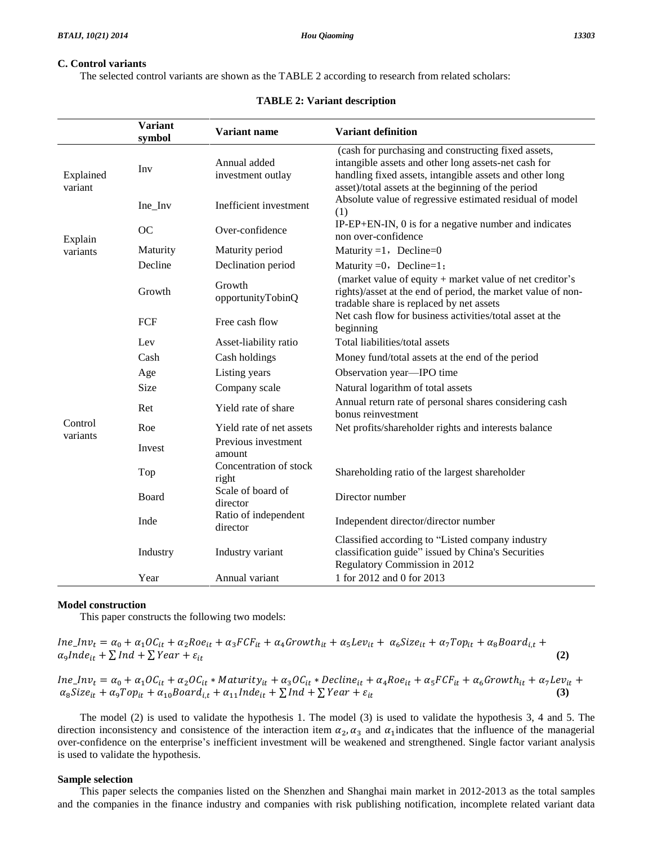## **C. Control variants**

The selected control variants are shown as the TABLE 2 according to research from related scholars:

|                      | <b>Variant</b><br>symbol | Variant name                      | <b>Variant definition</b>                                                                                                                                                                                                    |  |  |
|----------------------|--------------------------|-----------------------------------|------------------------------------------------------------------------------------------------------------------------------------------------------------------------------------------------------------------------------|--|--|
| Explained<br>variant | Inv                      | Annual added<br>investment outlay | (cash for purchasing and constructing fixed assets,<br>intangible assets and other long assets-net cash for<br>handling fixed assets, intangible assets and other long<br>asset)/total assets at the beginning of the period |  |  |
|                      | Ine_Inv                  | Inefficient investment            | Absolute value of regressive estimated residual of model<br>(1)                                                                                                                                                              |  |  |
| Explain              | OC                       | Over-confidence                   | IP-EP+EN-IN, 0 is for a negative number and indicates<br>non over-confidence                                                                                                                                                 |  |  |
| variants             | Maturity                 | Maturity period                   | Maturity = $1$ , Decline= $0$                                                                                                                                                                                                |  |  |
|                      | Decline                  | Declination period                | Maturity $=0$ , Decline=1;                                                                                                                                                                                                   |  |  |
|                      | Growth                   | Growth<br>opportunityTobinQ       | (market value of equity + market value of net creditor's<br>rights)/asset at the end of period, the market value of non-<br>tradable share is replaced by net assets                                                         |  |  |
|                      | FCF                      | Free cash flow                    | Net cash flow for business activities/total asset at the<br>beginning                                                                                                                                                        |  |  |
|                      | Lev                      | Asset-liability ratio             | Total liabilities/total assets                                                                                                                                                                                               |  |  |
|                      | Cash                     | Cash holdings                     | Money fund/total assets at the end of the period                                                                                                                                                                             |  |  |
|                      | Age                      | Listing years                     | Observation year-IPO time                                                                                                                                                                                                    |  |  |
|                      | <b>Size</b>              | Company scale                     | Natural logarithm of total assets                                                                                                                                                                                            |  |  |
|                      | Ret                      | Yield rate of share               | Annual return rate of personal shares considering cash<br>bonus reinvestment                                                                                                                                                 |  |  |
| Control<br>variants  | Roe                      | Yield rate of net assets          | Net profits/shareholder rights and interests balance                                                                                                                                                                         |  |  |
|                      | Invest                   | Previous investment<br>amount     |                                                                                                                                                                                                                              |  |  |
|                      | Top                      | Concentration of stock<br>right   | Shareholding ratio of the largest shareholder                                                                                                                                                                                |  |  |
|                      | Board                    | Scale of board of<br>director     | Director number                                                                                                                                                                                                              |  |  |
|                      | Inde                     | Ratio of independent<br>director  | Independent director/director number                                                                                                                                                                                         |  |  |
|                      | Industry                 | Industry variant                  | Classified according to "Listed company industry<br>classification guide" issued by China's Securities<br>Regulatory Commission in 2012                                                                                      |  |  |
|                      | Year                     | Annual variant                    | 1 for 2012 and 0 for 2013                                                                                                                                                                                                    |  |  |

### **TABLE 2: Variant description**

## **Model construction**

This paper constructs the following two models:

**Model construction**  
This paper constructs the following two models:  

$$
Ine\_Inv_t = \alpha_0 + \alpha_1 OC_{it} + \alpha_2 Roe_{it} + \alpha_3 FCF_{it} + \alpha_4 Growth_{it} + \alpha_5 Liev_{it} + \alpha_6 Size_{it} + \alpha_7 Top_{it} + \alpha_8 Board_{i,t} + \alpha_9 Inde_{it} + \sum Ind + \sum Year + \epsilon_{it}
$$
(2)  

$$
Ine\_Inv_t = \alpha_0 + \alpha_1 OC_{it} + \alpha_2 OC_{it} * Matrixity_{it} + \alpha_3 OC_{it} * Decline_{it} + \alpha_4 Roe_{it} + \alpha_5 FCF_{it} + \alpha_6 Growth_{it} + \alpha_7 Lev_{it} + \alpha_8 Derie_{it} + \alpha_9 Cov_{it} + \alpha_9 Cov_{it} + \alpha_9 Cov_{it} + \alpha_9 Cov_{it} + \alpha_9 Cov_{it} + \alpha_9 Cov_{it} + \alpha_9 Cov_{it} + \alpha_9 Cov_{it} + \alpha_9 Cov_{it} + \alpha_9 Cov_{it} + \alpha_9 Cov_{it} + \alpha_9 Cov_{it} + \alpha_9 Cov_{it} + \alpha_9 Cov_{it} + \alpha_9 Cov_{it} + \alpha_9 Cov_{it} + \alpha_9 Cov_{it} + \alpha_9 Cov_{it} + \alpha_9 Cov_{it} + \alpha_9 Cov_{it} + \alpha_9 Cov_{it} + \alpha_9 Cov_{it} + \alpha_9 Cov_{it} + \alpha_9 Cov_{it} + \alpha_9 Cov_{it} + \alpha_9 Cov_{it} + \alpha_9 Cov_{it} + \alpha_9 Cov_{it} + \alpha_9 Cov_{it} + \alpha_9 Cov_{it} + \alpha_9 Cov_{it} + \alpha_9 Cov_{it} + \alpha_9 Cov_{it} + \alpha_9 Cov_{it} + \alpha_9 Cov_{it} + \alpha_9 Cov_{it} + \alpha_9 Cov_{it} + \alpha_9 Cov_{it} + \alpha_9 Cov_{it} + \alpha_9 Cov_{it} + \alpha_9 Cov_{it} + \alpha_9 Cov_{it} + \alpha_9 Cov_{it} + \alpha_9 Cov_{it} + \alpha_9 Cov_{it} + \alpha_9 Cov_{it} + \alpha_9 Cov_{it} + \alpha_9 Cov_{it} + \alpha_9 Cov_{it} + \alpha_9 Cov_{it} + \alpha_9 Cov_{it} + \alpha_9 Cov_{it} + \alpha_9 Cov_{it} + \alpha_9 Cov_{it} + \alpha_9 Cov_{it} + \alpha_9 Cov_{it} + \alpha_9 Cov_{it} + \alpha_9 Cov_{it
$$

 $\alpha_9 Inde_{it} + \sum Ind + \sum Year + \varepsilon_{it}$  (2)<br>  $\alpha_8 Inde_{it} + \alpha_0 + \alpha_1 O C_{it} + \alpha_2 O C_{it} * Matrix_{it} + \alpha_3 O C_{it} * Decline_{it} + \alpha_4 Roe_{it} + \alpha_5 F C F_{it} + \alpha_6 G rowth_{it} + \alpha_7 Lev_{it}$ <br>  $\alpha_8 Size_{it} + \alpha_9 Top_{it} + \alpha_{10} Board_{it} + \alpha_{11} Inde_{it} + \sum Ind + \sum Year + \varepsilon_{it}$  (3)

The model (2) is used to validate the hypothesis 1. The model (3) is used to validate the hypothesis 3, 4 and 5. The  $\alpha_8 Size_{it} + \alpha_9 Top_{it} + \alpha_{10} Board_{i,t} + \alpha_{11} Inde_{it} + \sum Ind + \sum Year + \varepsilon_{it}$ <br>The model (2) is used to validate the hypothesis 1. The model (3) is u<br>direction inconsistency and consistence of the interaction item  $\alpha_2, \alpha_3$  and  $\alpha_1$  $\vec{a}$  and  $\alpha$ <sub>1</sub> indicate direction inconsistency and consistence of the interaction item  $\alpha_2$ ,  $\alpha_3$  and  $\alpha_1$  indicates that the influence of the managerial The model (2) is used to validate the hypothesis 1. The model (3) is used to validate the hypothesis 3, 4 and 5. The direction inconsistency and consistence of the interaction item  $\alpha_2$ ,  $\alpha_3$  and  $\alpha_1$  indicates that is used to validate the hypothesis.

## **Sample selection**

This paper selects the companies listed on the Shenzhen and Shanghai main market in 2012-2013 as the total samples and the companies in the finance industry and companies with risk publishing notification, incomplete related variant data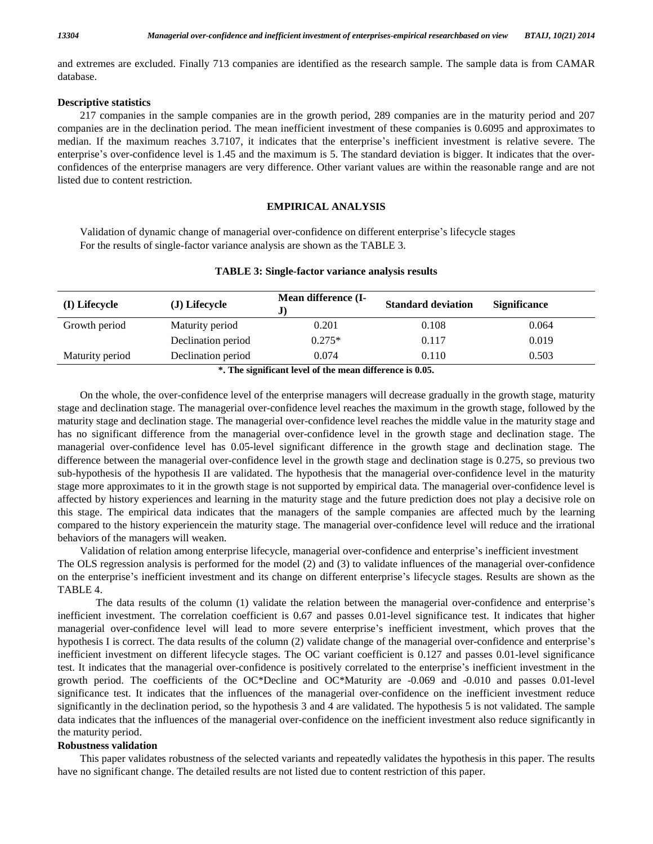and extremes are excluded. Finally 713 companies are identified as the research sample. The sample data is from CAMAR database.

## **Descriptive statistics**

217 companies in the sample companies are in the growth period, 289 companies are in the maturity period and 207 companies are in the declination period. The mean inefficient investment of these companies is 0.6095 and approximates to 217 companies in the sample companies are in the growth period, 289 companies are in the maturity period and 207 companies are in the declination period. The mean inefficient investment of these companies is 0.6095 and app companies are in the declination period. The mean inefficient investment of these companies is 0.6095 and approximates to median. If the maximum reaches 3.7107, it indicates that the enterprise's inefficient investment is confidences of the enterprise managers are very difference. Other variant values are within the reasonable range and are not listed due to content restriction.

## **EMPIRICAL ANALYSIS**

Validation of dynamic change of managerial over-confidence on different enterprise's lifecycle stages For the results of single-factor variance analysis are shown as the TABLE 3.

| (I) Lifecycle   | (J) Lifecycle      | Mean difference (I- | <b>Standard deviation</b> | <b>Significance</b> |
|-----------------|--------------------|---------------------|---------------------------|---------------------|
| Growth period   | Maturity period    | 0.201               | 0.108                     | 0.064               |
|                 | Declination period | $0.275*$            | 0.117                     | 0.019               |
| Maturity period | Declination period | 0.074               | 0.110                     | 0.503               |

## **TABLE 3: Single-factor variance analysis results**

**\*. The significant level of the mean difference is 0.05.**

On the whole, the over-confidence level of the enterprise managers will decrease gradually in the growth stage, maturity stage and declination stage. The managerial over-confidence level reaches the maximum in the growth stage, followed by the maturity stage and declination stage. The managerial over-confidence level reaches the middle value in the maturity stage and has no significant difference from the managerial over-confidence level in the growth stage and declination stage. The managerial over-confidence level has 0.05-level significant difference in the growth stage and declination stage. The difference between the managerial over-confidence level in the growth stage and declination stage is 0.275, so previous two sub-hypothesis of the hypothesis II are validated. The hypothesis that the managerial over-confidence level in the maturity stage more approximates to it in the growth stage is not supported by empirical data. The managerial over-confidence level is affected by history experiences and learning in the maturity stage and the future prediction does not play a decisive role on this stage. The empirical data indicates that the managers of the sample companies are affected much by the learning compared to the history experiencein the maturity stage. The managerial over-confidence level will reduce and the irrational<br>behaviors of the managers will weaken.<br>Validation of relation among enterprise lifecycle, manager behaviors of the managers will weaken.

The OLS regression analysis is performed for the model (2) and (3) to validate influences of the managerial over-confidence Validation of relation among enterprise lifecycle, managerial over-confidence and enterprise's inefficient investment<br>The OLS regression analysis is performed for the model (2) and (3) to validate influences of the manager on the enterprise's inefficient investment and its change on different enterprise's lifecycle stages. Results are shown as the TABLE 4.<br>The data results of the column (1) validate the relation between the managerial over-c

inefficient investment. The correlation coefficient is 0.67 and passes 0.01-level significance test. It indicates that higher The data results of the column (1) validate the relation between the managerial over-confidence and enterprise's inefficient investment. The correlation coefficient is 0.67 and passes 0.01-level significance test. It indic inefficient investment. The correlation coefficient is 0.67 and passes 0.01-level significance test. It indicates that higher managerial over-confidence level will lead to more severe enterprise's inefficient investment, w inefficient investment on different lifecycle stages. The OC variant coefficient is 0.127 and passes 0.01-level significance hypothesis I is correct. The data results of the column (2) validate change of the managerial over-confidence and enterprise's inefficient investment on different lifecycle stages. The OC variant coefficient is 0.127 and p growth period. The coefficients of the OC\*Decline and OC\*Maturity are -0.069 and -0.010 and passes 0.01-level significance test. It indicates that the influences of the managerial over-confidence on the inefficient investment reduce significantly in the declination period, so the hypothesis 3 and 4 are validated. The hypothesis 5 is not validated. The sample data indicates that the influences of the managerial over-confidence on the inefficient investment also reduce significantly in the maturity period.

## **Robustness validation**

This paper validates robustness of the selected variants and repeatedly validates the hypothesis in this paper. The results have no significant change. The detailed results are not listed due to content restriction of this paper.